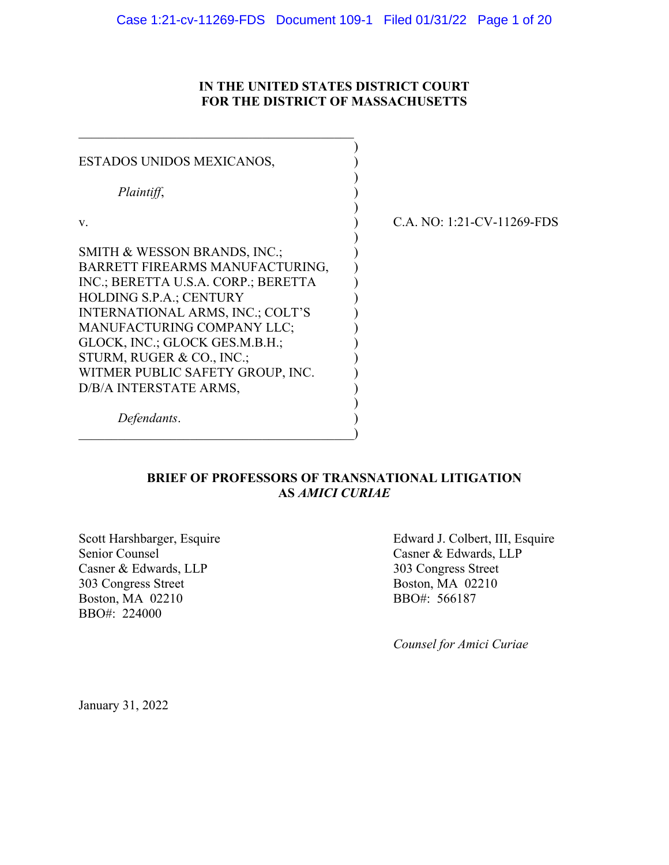#### **IN THE UNITED STATES DISTRICT COURT FOR THE DISTRICT OF MASSACHUSETTS**

| ESTADOS UNIDOS MEXICANOS,           |             |
|-------------------------------------|-------------|
| Plaintiff,                          |             |
| V.                                  | C.A. NO: 1: |
| SMITH & WESSON BRANDS, INC.;        |             |
| BARRETT FIREARMS MANUFACTURING,     |             |
| INC.; BERETTA U.S.A. CORP.; BERETTA |             |
| <b>HOLDING S.P.A.; CENTURY</b>      |             |
| INTERNATIONAL ARMS, INC.; COLT'S    |             |
| MANUFACTURING COMPANY LLC;          |             |
| GLOCK, INC.; GLOCK GES.M.B.H.;      |             |
| STURM, RUGER & CO., INC.;           |             |
| WITMER PUBLIC SAFETY GROUP, INC.    |             |
| D/B/A INTERSTATE ARMS,              |             |
| Defendants.                         |             |

21-CV-11269-FDS

### **BRIEF OF PROFESSORS OF TRANSNATIONAL LITIGATION AS** *AMICI CURIAE*

Senior Counsel<br>
Casner & Edwards, LLP<br>
Casner & Edwards, LLP<br>
303 Congress Street Casner & Edwards, LLP<br>
303 Congress Street<br>
303 Congress Street<br>
Boston, MA 02210 303 Congress Street Boston, MA 02210 BBO#: 566187 BBO#: 224000

Scott Harshbarger, Esquire Edward J. Colbert, III, Esquire

*Counsel for Amici Curiae*

January 31, 2022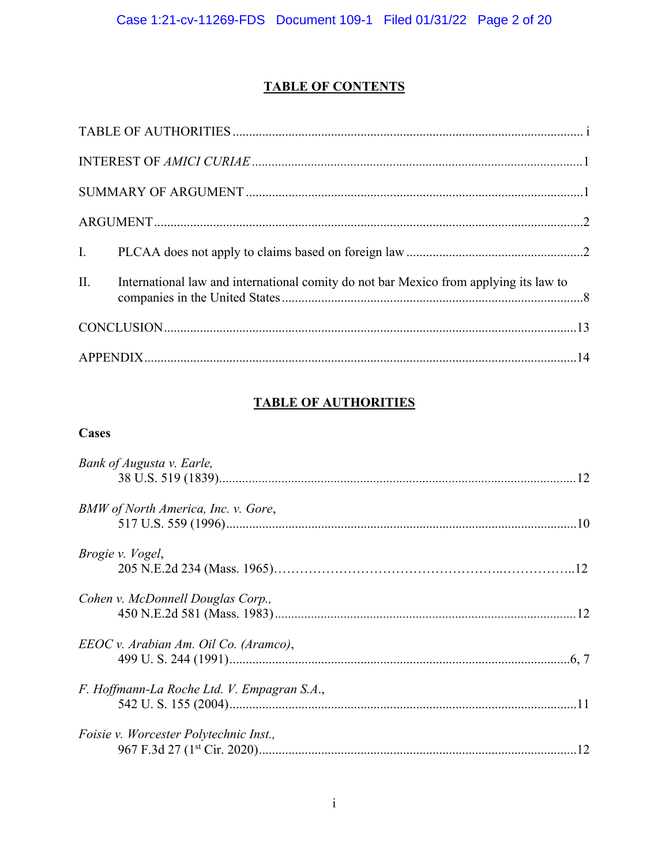# **TABLE OF CONTENTS**

| II. International law and international comity do not bar Mexico from applying its law to |  |
|-------------------------------------------------------------------------------------------|--|
|                                                                                           |  |
|                                                                                           |  |

## **TABLE OF AUTHORITIES**

## **Cases**

| Bank of Augusta v. Earle,                   |  |
|---------------------------------------------|--|
| BMW of North America, Inc. v. Gore,         |  |
| <i>Brogie v. Vogel,</i>                     |  |
| Cohen v. McDonnell Douglas Corp.,           |  |
| EEOC v. Arabian Am. Oil Co. (Aramco),       |  |
| F. Hoffmann-La Roche Ltd. V. Empagran S.A., |  |
| Foisie v. Worcester Polytechnic Inst.,      |  |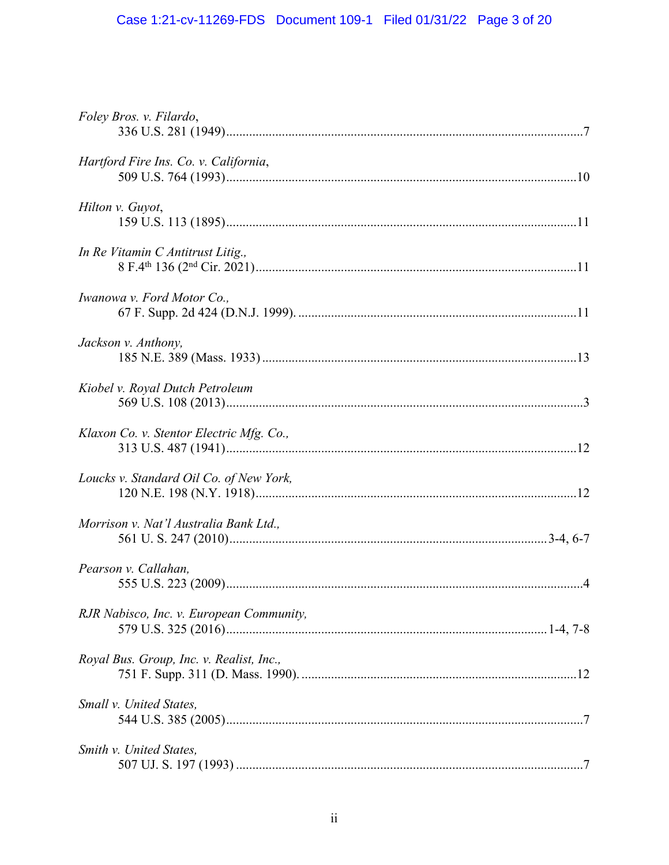# Case 1:21-cv-11269-FDS Document 109-1 Filed 01/31/22 Page 3 of 20

| Foley Bros. v. Filardo,                  |  |
|------------------------------------------|--|
| Hartford Fire Ins. Co. v. California,    |  |
| Hilton v. Guyot,                         |  |
| In Re Vitamin C Antitrust Litig.,        |  |
| Iwanowa v. Ford Motor Co.,               |  |
| Jackson v. Anthony,                      |  |
| Kiobel v. Royal Dutch Petroleum          |  |
| Klaxon Co. v. Stentor Electric Mfg. Co., |  |
| Loucks v. Standard Oil Co. of New York,  |  |
| Morrison v. Nat'l Australia Bank Ltd.,   |  |
| Pearson v. Callahan,                     |  |
| RJR Nabisco, Inc. v. European Community, |  |
| Royal Bus. Group, Inc. v. Realist, Inc., |  |
| Small v. United States,                  |  |
| Smith v. United States,                  |  |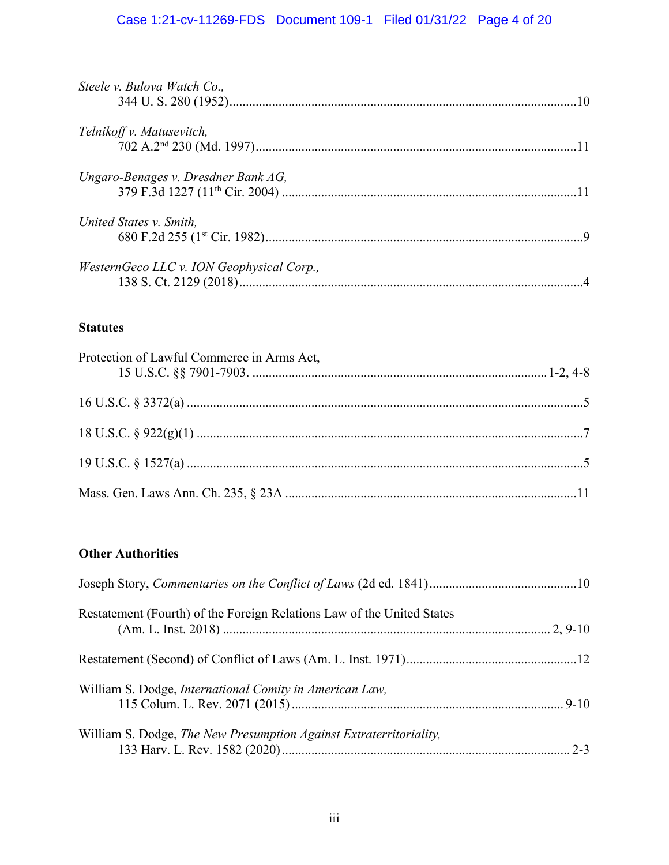# Case 1:21-cv-11269-FDS Document 109-1 Filed 01/31/22 Page 4 of 20

| Steele v. Bulova Watch Co.,               |  |
|-------------------------------------------|--|
| Telnikoff v. Matusevitch,                 |  |
| Ungaro-Benages v. Dresdner Bank AG,       |  |
| United States v. Smith,                   |  |
| WesternGeco LLC v. ION Geophysical Corp., |  |

## **Statutes**

| Protection of Lawful Commerce in Arms Act, |  |
|--------------------------------------------|--|
|                                            |  |
|                                            |  |
|                                            |  |
|                                            |  |

# **Other Authorities**

| Restatement (Fourth) of the Foreign Relations Law of the United States |  |
|------------------------------------------------------------------------|--|
|                                                                        |  |
| William S. Dodge, International Comity in American Law,                |  |
| William S. Dodge, The New Presumption Against Extraterritoriality,     |  |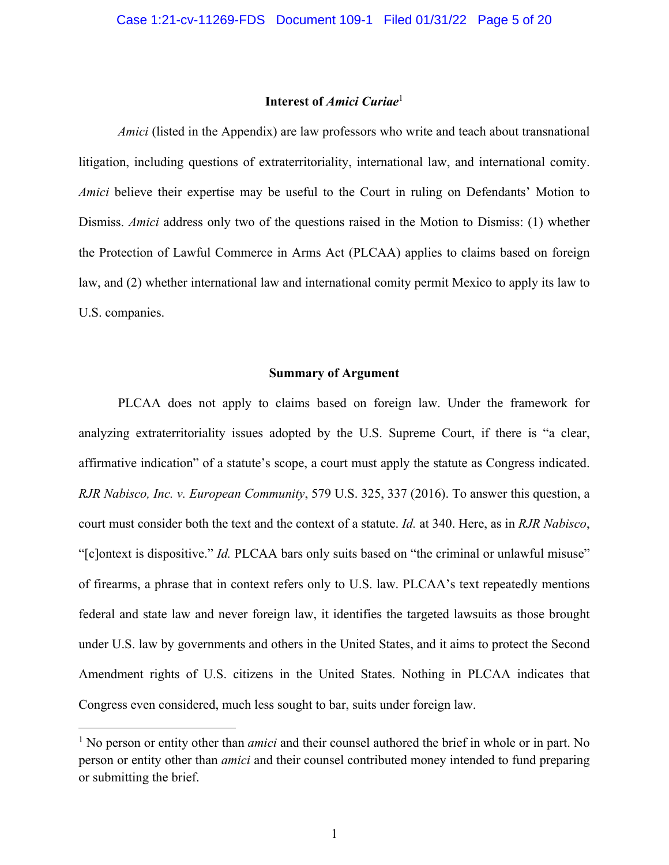#### **Interest of** *Amici Curiae*<sup>1</sup>

*Amici* (listed in the Appendix) are law professors who write and teach about transnational litigation, including questions of extraterritoriality, international law, and international comity. *Amici* believe their expertise may be useful to the Court in ruling on Defendants' Motion to Dismiss. *Amici* address only two of the questions raised in the Motion to Dismiss: (1) whether the Protection of Lawful Commerce in Arms Act (PLCAA) applies to claims based on foreign law, and (2) whether international law and international comity permit Mexico to apply its law to U.S. companies.

#### **Summary of Argument**

PLCAA does not apply to claims based on foreign law. Under the framework for analyzing extraterritoriality issues adopted by the U.S. Supreme Court, if there is "a clear, affirmative indication" of a statute's scope, a court must apply the statute as Congress indicated. *RJR Nabisco, Inc. v. European Community*, 579 U.S. 325, 337 (2016). To answer this question, a court must consider both the text and the context of a statute. *Id.* at 340. Here, as in *RJR Nabisco*, "[c]ontext is dispositive." *Id.* PLCAA bars only suits based on "the criminal or unlawful misuse" of firearms, a phrase that in context refers only to U.S. law. PLCAA's text repeatedly mentions federal and state law and never foreign law, it identifies the targeted lawsuits as those brought under U.S. law by governments and others in the United States, and it aims to protect the Second Amendment rights of U.S. citizens in the United States. Nothing in PLCAA indicates that Congress even considered, much less sought to bar, suits under foreign law.

<sup>&</sup>lt;sup>1</sup> No person or entity other than *amici* and their counsel authored the brief in whole or in part. No person or entity other than *amici* and their counsel contributed money intended to fund preparing or submitting the brief.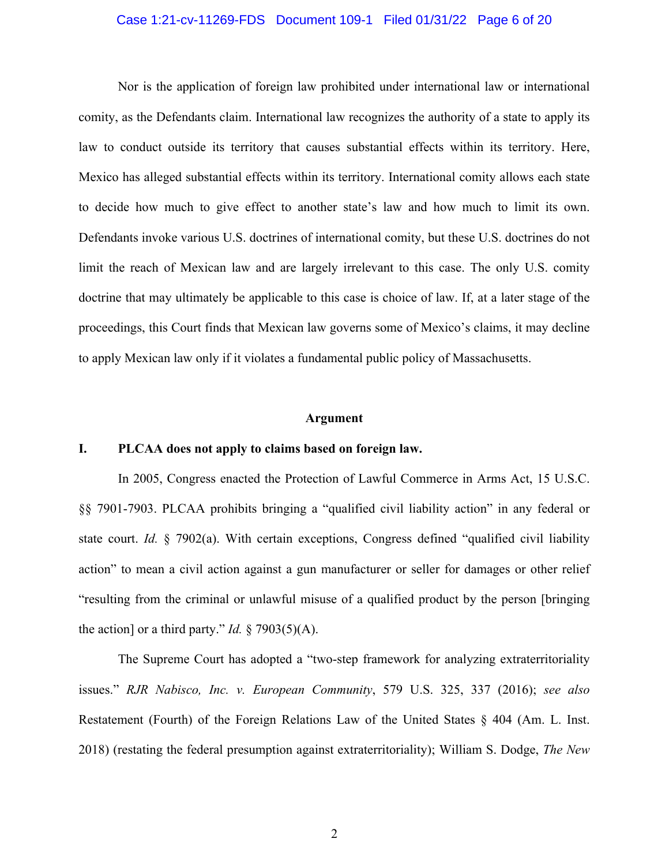#### Case 1:21-cv-11269-FDS Document 109-1 Filed 01/31/22 Page 6 of 20

Nor is the application of foreign law prohibited under international law or international comity, as the Defendants claim. International law recognizes the authority of a state to apply its law to conduct outside its territory that causes substantial effects within its territory. Here, Mexico has alleged substantial effects within its territory. International comity allows each state to decide how much to give effect to another state's law and how much to limit its own. Defendants invoke various U.S. doctrines of international comity, but these U.S. doctrines do not limit the reach of Mexican law and are largely irrelevant to this case. The only U.S. comity doctrine that may ultimately be applicable to this case is choice of law. If, at a later stage of the proceedings, this Court finds that Mexican law governs some of Mexico's claims, it may decline to apply Mexican law only if it violates a fundamental public policy of Massachusetts.

#### **Argument**

#### **I. PLCAA does not apply to claims based on foreign law.**

In 2005, Congress enacted the Protection of Lawful Commerce in Arms Act, 15 U.S.C. §§ 7901-7903. PLCAA prohibits bringing a "qualified civil liability action" in any federal or state court. *Id.* § 7902(a). With certain exceptions, Congress defined "qualified civil liability action" to mean a civil action against a gun manufacturer or seller for damages or other relief "resulting from the criminal or unlawful misuse of a qualified product by the person [bringing the action] or a third party." *Id.*  $\S$  7903(5)(A).

The Supreme Court has adopted a "two-step framework for analyzing extraterritoriality issues." *RJR Nabisco, Inc. v. European Community*, 579 U.S. 325, 337 (2016); *see also* Restatement (Fourth) of the Foreign Relations Law of the United States § 404 (Am. L. Inst. 2018) (restating the federal presumption against extraterritoriality); William S. Dodge, *The New*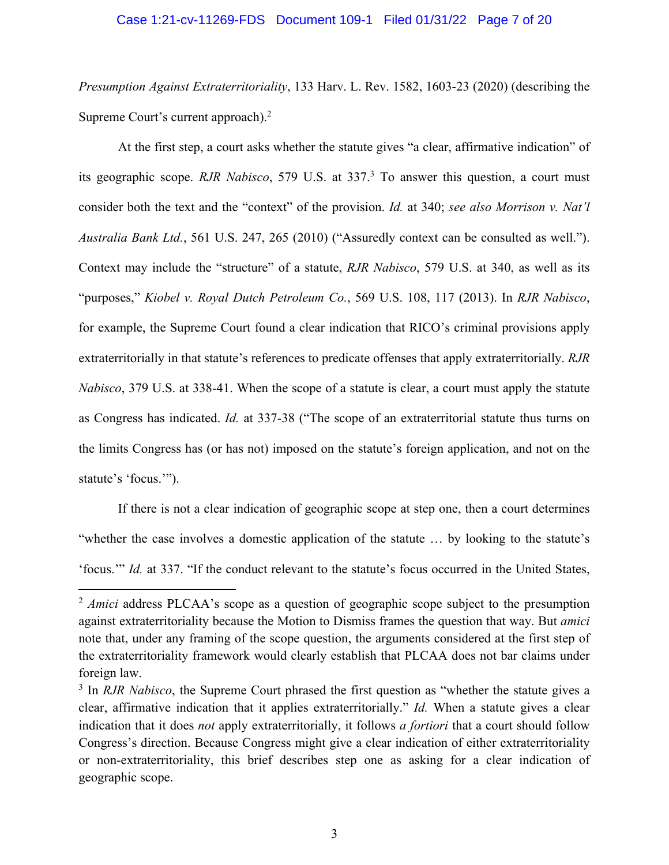#### Case 1:21-cv-11269-FDS Document 109-1 Filed 01/31/22 Page 7 of 20

*Presumption Against Extraterritoriality*, 133 Harv. L. Rev. 1582, 1603-23 (2020) (describing the Supreme Court's current approach).<sup>2</sup>

At the first step, a court asks whether the statute gives "a clear, affirmative indication" of its geographic scope. *RJR Nabisco*, 579 U.S. at 337.3 To answer this question, a court must consider both the text and the "context" of the provision. *Id.* at 340; *see also Morrison v. Nat'l Australia Bank Ltd.*, 561 U.S. 247, 265 (2010) ("Assuredly context can be consulted as well."). Context may include the "structure" of a statute, *RJR Nabisco*, 579 U.S. at 340, as well as its "purposes," *Kiobel v. Royal Dutch Petroleum Co.*, 569 U.S. 108, 117 (2013). In *RJR Nabisco*, for example, the Supreme Court found a clear indication that RICO's criminal provisions apply extraterritorially in that statute's references to predicate offenses that apply extraterritorially. *RJR Nabisco*, 379 U.S. at 338-41. When the scope of a statute is clear, a court must apply the statute as Congress has indicated. *Id.* at 337-38 ("The scope of an extraterritorial statute thus turns on the limits Congress has (or has not) imposed on the statute's foreign application, and not on the statute's 'focus.'").

If there is not a clear indication of geographic scope at step one, then a court determines "whether the case involves a domestic application of the statute … by looking to the statute's 'focus.'" *Id.* at 337. "If the conduct relevant to the statute's focus occurred in the United States,

<sup>&</sup>lt;sup>2</sup> *Amici* address PLCAA's scope as a question of geographic scope subject to the presumption against extraterritoriality because the Motion to Dismiss frames the question that way. But *amici* note that, under any framing of the scope question, the arguments considered at the first step of the extraterritoriality framework would clearly establish that PLCAA does not bar claims under foreign law.

<sup>3</sup> In *RJR Nabisco*, the Supreme Court phrased the first question as "whether the statute gives a clear, affirmative indication that it applies extraterritorially." *Id.* When a statute gives a clear indication that it does *not* apply extraterritorially, it follows *a fortiori* that a court should follow Congress's direction. Because Congress might give a clear indication of either extraterritoriality or non-extraterritoriality, this brief describes step one as asking for a clear indication of geographic scope.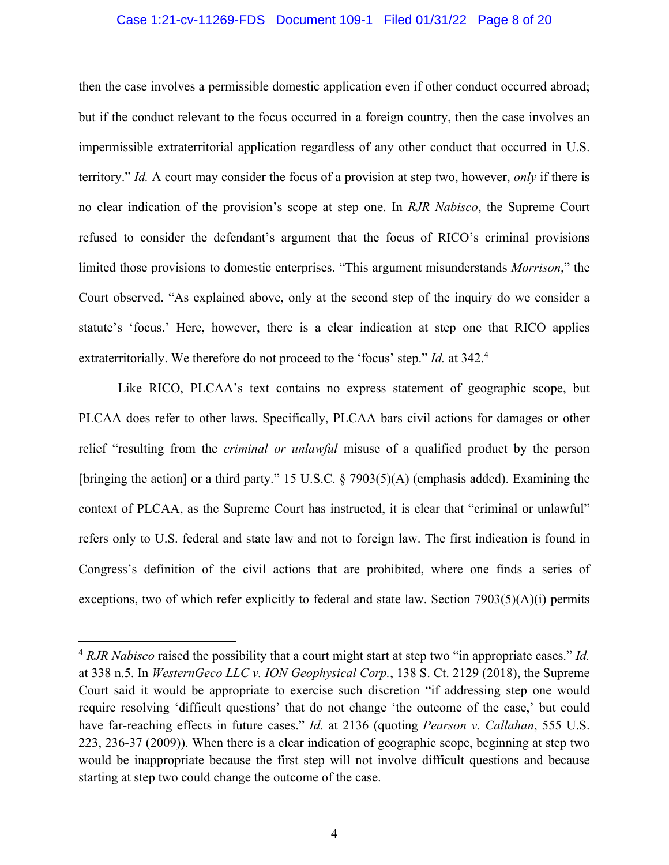#### Case 1:21-cv-11269-FDS Document 109-1 Filed 01/31/22 Page 8 of 20

then the case involves a permissible domestic application even if other conduct occurred abroad; but if the conduct relevant to the focus occurred in a foreign country, then the case involves an impermissible extraterritorial application regardless of any other conduct that occurred in U.S. territory." *Id.* A court may consider the focus of a provision at step two, however, *only* if there is no clear indication of the provision's scope at step one. In *RJR Nabisco*, the Supreme Court refused to consider the defendant's argument that the focus of RICO's criminal provisions limited those provisions to domestic enterprises. "This argument misunderstands *Morrison*," the Court observed. "As explained above, only at the second step of the inquiry do we consider a statute's 'focus.' Here, however, there is a clear indication at step one that RICO applies extraterritorially. We therefore do not proceed to the 'focus' step." *Id.* at 342.4

Like RICO, PLCAA's text contains no express statement of geographic scope, but PLCAA does refer to other laws. Specifically, PLCAA bars civil actions for damages or other relief "resulting from the *criminal or unlawful* misuse of a qualified product by the person [bringing the action] or a third party." 15 U.S.C. § 7903(5)(A) (emphasis added). Examining the context of PLCAA, as the Supreme Court has instructed, it is clear that "criminal or unlawful" refers only to U.S. federal and state law and not to foreign law. The first indication is found in Congress's definition of the civil actions that are prohibited, where one finds a series of exceptions, two of which refer explicitly to federal and state law. Section  $7903(5)(A)(i)$  permits

<sup>4</sup> *RJR Nabisco* raised the possibility that a court might start at step two "in appropriate cases." *Id.* at 338 n.5. In *WesternGeco LLC v. ION Geophysical Corp.*, 138 S. Ct. 2129 (2018), the Supreme Court said it would be appropriate to exercise such discretion "if addressing step one would require resolving 'difficult questions' that do not change 'the outcome of the case,' but could have far-reaching effects in future cases." *Id.* at 2136 (quoting *Pearson v. Callahan*, 555 U.S. 223, 236-37 (2009)). When there is a clear indication of geographic scope, beginning at step two would be inappropriate because the first step will not involve difficult questions and because starting at step two could change the outcome of the case.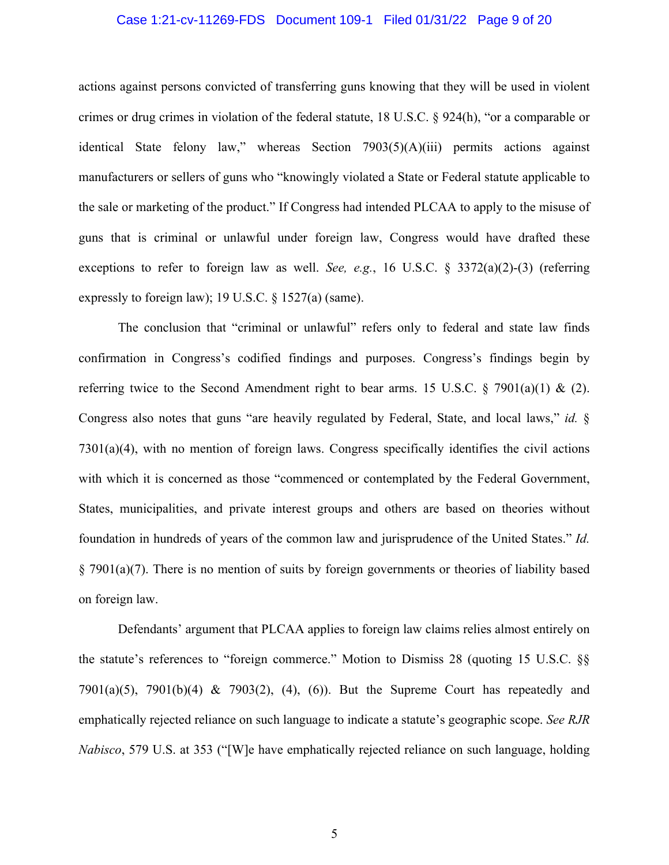#### Case 1:21-cv-11269-FDS Document 109-1 Filed 01/31/22 Page 9 of 20

actions against persons convicted of transferring guns knowing that they will be used in violent crimes or drug crimes in violation of the federal statute, 18 U.S.C. § 924(h), "or a comparable or identical State felony law," whereas Section 7903(5)(A)(iii) permits actions against manufacturers or sellers of guns who "knowingly violated a State or Federal statute applicable to the sale or marketing of the product." If Congress had intended PLCAA to apply to the misuse of guns that is criminal or unlawful under foreign law, Congress would have drafted these exceptions to refer to foreign law as well. *See, e.g.*, 16 U.S.C. § 3372(a)(2)-(3) (referring expressly to foreign law); 19 U.S.C. § 1527(a) (same).

The conclusion that "criminal or unlawful" refers only to federal and state law finds confirmation in Congress's codified findings and purposes. Congress's findings begin by referring twice to the Second Amendment right to bear arms. 15 U.S.C. § 7901(a)(1) & (2). Congress also notes that guns "are heavily regulated by Federal, State, and local laws," *id.* § 7301(a)(4), with no mention of foreign laws. Congress specifically identifies the civil actions with which it is concerned as those "commenced or contemplated by the Federal Government, States, municipalities, and private interest groups and others are based on theories without foundation in hundreds of years of the common law and jurisprudence of the United States." *Id.* § 7901(a)(7). There is no mention of suits by foreign governments or theories of liability based on foreign law.

Defendants' argument that PLCAA applies to foreign law claims relies almost entirely on the statute's references to "foreign commerce." Motion to Dismiss 28 (quoting 15 U.S.C. §§ 7901(a)(5), 7901(b)(4) & 7903(2), (4), (6)). But the Supreme Court has repeatedly and emphatically rejected reliance on such language to indicate a statute's geographic scope. *See RJR Nabisco*, 579 U.S. at 353 ("[W]e have emphatically rejected reliance on such language, holding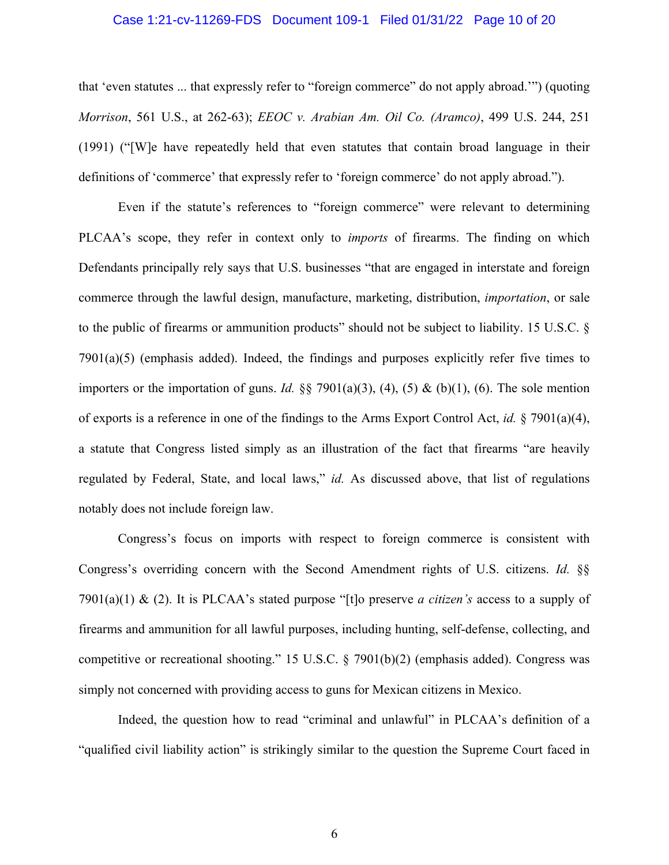#### Case 1:21-cv-11269-FDS Document 109-1 Filed 01/31/22 Page 10 of 20

that 'even statutes ... that expressly refer to "foreign commerce" do not apply abroad.'") (quoting *Morrison*, 561 U.S., at 262-63); *EEOC v. Arabian Am. Oil Co. (Aramco)*, 499 U.S. 244, 251 (1991) ("[W]e have repeatedly held that even statutes that contain broad language in their definitions of 'commerce' that expressly refer to 'foreign commerce' do not apply abroad.").

Even if the statute's references to "foreign commerce" were relevant to determining PLCAA's scope, they refer in context only to *imports* of firearms. The finding on which Defendants principally rely says that U.S. businesses "that are engaged in interstate and foreign commerce through the lawful design, manufacture, marketing, distribution, *importation*, or sale to the public of firearms or ammunition products" should not be subject to liability. 15 U.S.C. § 7901(a)(5) (emphasis added). Indeed, the findings and purposes explicitly refer five times to importers or the importation of guns. *Id.* §§ 7901(a)(3), (4), (5) & (b)(1), (6). The sole mention of exports is a reference in one of the findings to the Arms Export Control Act, *id.* § 7901(a)(4), a statute that Congress listed simply as an illustration of the fact that firearms "are heavily regulated by Federal, State, and local laws," *id.* As discussed above, that list of regulations notably does not include foreign law.

Congress's focus on imports with respect to foreign commerce is consistent with Congress's overriding concern with the Second Amendment rights of U.S. citizens. *Id.* §§ 7901(a)(1) & (2). It is PLCAA's stated purpose "[t]o preserve *a citizen's* access to a supply of firearms and ammunition for all lawful purposes, including hunting, self-defense, collecting, and competitive or recreational shooting." 15 U.S.C. § 7901(b)(2) (emphasis added). Congress was simply not concerned with providing access to guns for Mexican citizens in Mexico.

Indeed, the question how to read "criminal and unlawful" in PLCAA's definition of a "qualified civil liability action" is strikingly similar to the question the Supreme Court faced in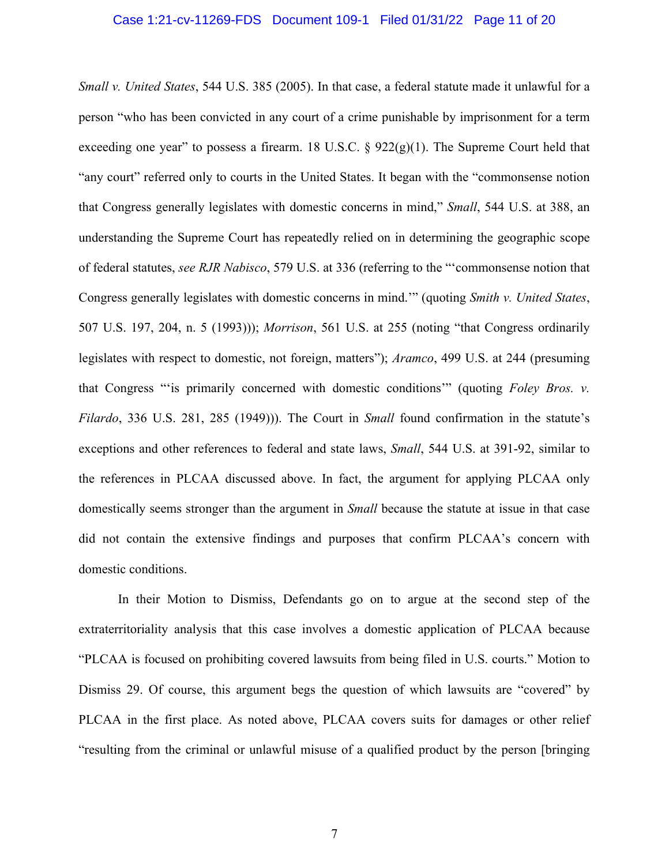#### Case 1:21-cv-11269-FDS Document 109-1 Filed 01/31/22 Page 11 of 20

*Small v. United States*, 544 U.S. 385 (2005). In that case, a federal statute made it unlawful for a person "who has been convicted in any court of a crime punishable by imprisonment for a term exceeding one year" to possess a firearm. 18 U.S.C.  $\S$  922(g)(1). The Supreme Court held that "any court" referred only to courts in the United States. It began with the "commonsense notion that Congress generally legislates with domestic concerns in mind," *Small*, 544 U.S. at 388, an understanding the Supreme Court has repeatedly relied on in determining the geographic scope of federal statutes, *see RJR Nabisco*, 579 U.S. at 336 (referring to the "'commonsense notion that Congress generally legislates with domestic concerns in mind.'" (quoting *Smith v. United States*, 507 U.S. 197, 204, n. 5 (1993))); *Morrison*, 561 U.S. at 255 (noting "that Congress ordinarily legislates with respect to domestic, not foreign, matters"); *Aramco*, 499 U.S. at 244 (presuming that Congress "'is primarily concerned with domestic conditions'" (quoting *Foley Bros. v. Filardo*, 336 U.S. 281, 285 (1949))). The Court in *Small* found confirmation in the statute's exceptions and other references to federal and state laws, *Small*, 544 U.S. at 391-92, similar to the references in PLCAA discussed above. In fact, the argument for applying PLCAA only domestically seems stronger than the argument in *Small* because the statute at issue in that case did not contain the extensive findings and purposes that confirm PLCAA's concern with domestic conditions.

In their Motion to Dismiss, Defendants go on to argue at the second step of the extraterritoriality analysis that this case involves a domestic application of PLCAA because "PLCAA is focused on prohibiting covered lawsuits from being filed in U.S. courts." Motion to Dismiss 29. Of course, this argument begs the question of which lawsuits are "covered" by PLCAA in the first place. As noted above, PLCAA covers suits for damages or other relief "resulting from the criminal or unlawful misuse of a qualified product by the person [bringing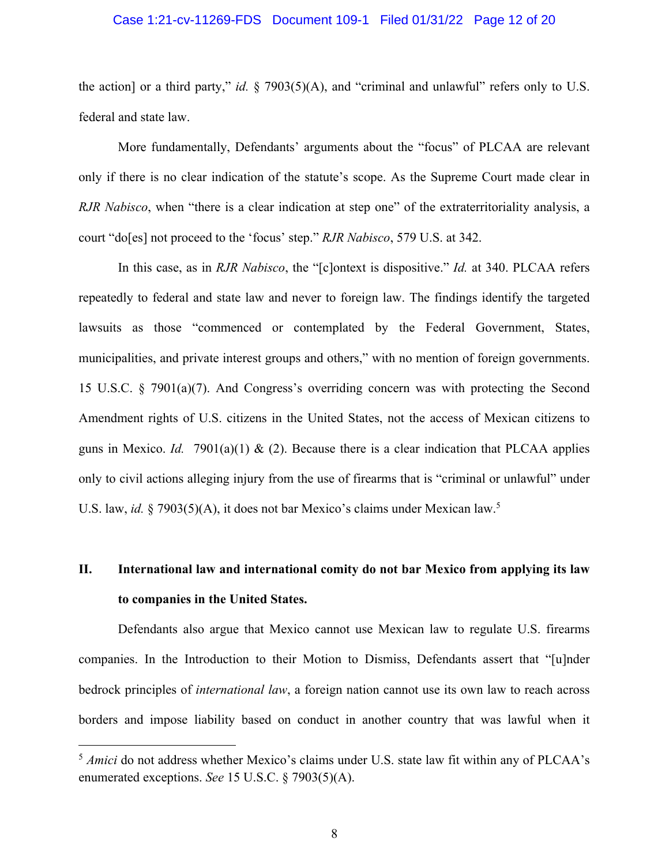#### Case 1:21-cv-11269-FDS Document 109-1 Filed 01/31/22 Page 12 of 20

the action] or a third party," *id.* § 7903(5)(A), and "criminal and unlawful" refers only to U.S. federal and state law.

More fundamentally, Defendants' arguments about the "focus" of PLCAA are relevant only if there is no clear indication of the statute's scope. As the Supreme Court made clear in *RJR Nabisco*, when "there is a clear indication at step one" of the extraterritoriality analysis, a court "do[es] not proceed to the 'focus' step." *RJR Nabisco*, 579 U.S. at 342.

In this case, as in *RJR Nabisco*, the "[c]ontext is dispositive." *Id.* at 340. PLCAA refers repeatedly to federal and state law and never to foreign law. The findings identify the targeted lawsuits as those "commenced or contemplated by the Federal Government, States, municipalities, and private interest groups and others," with no mention of foreign governments. 15 U.S.C. § 7901(a)(7). And Congress's overriding concern was with protecting the Second Amendment rights of U.S. citizens in the United States, not the access of Mexican citizens to guns in Mexico. *Id.* 7901(a)(1) & (2). Because there is a clear indication that PLCAA applies only to civil actions alleging injury from the use of firearms that is "criminal or unlawful" under U.S. law, *id.* § 7903(5)(A), it does not bar Mexico's claims under Mexican law.<sup>5</sup>

# **II. International law and international comity do not bar Mexico from applying its law to companies in the United States.**

Defendants also argue that Mexico cannot use Mexican law to regulate U.S. firearms companies. In the Introduction to their Motion to Dismiss, Defendants assert that "[u]nder bedrock principles of *international law*, a foreign nation cannot use its own law to reach across borders and impose liability based on conduct in another country that was lawful when it

<sup>&</sup>lt;sup>5</sup> *Amici* do not address whether Mexico's claims under U.S. state law fit within any of PLCAA's enumerated exceptions. *See* 15 U.S.C. § 7903(5)(A).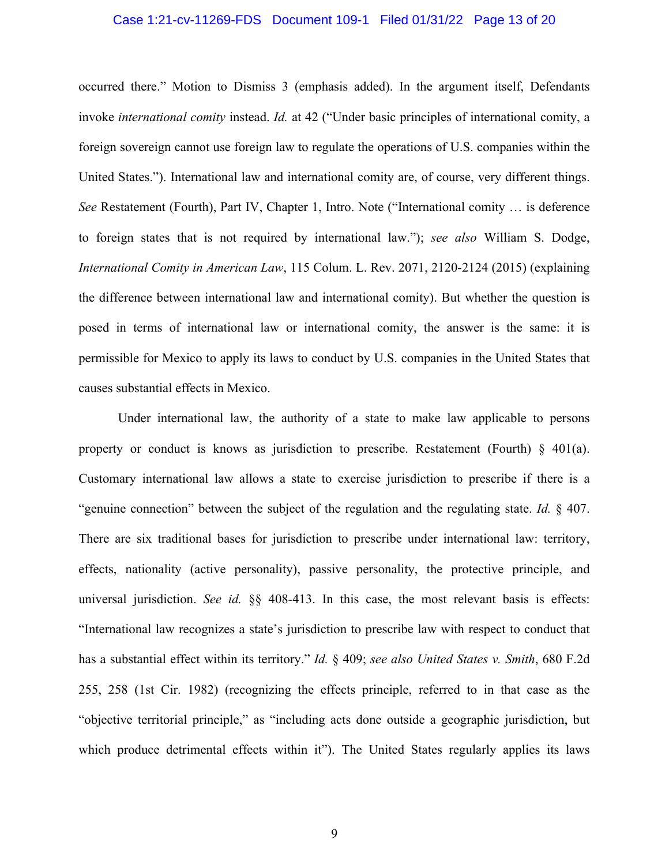#### Case 1:21-cv-11269-FDS Document 109-1 Filed 01/31/22 Page 13 of 20

occurred there." Motion to Dismiss 3 (emphasis added). In the argument itself, Defendants invoke *international comity* instead. *Id.* at 42 ("Under basic principles of international comity, a foreign sovereign cannot use foreign law to regulate the operations of U.S. companies within the United States."). International law and international comity are, of course, very different things. *See* Restatement (Fourth), Part IV, Chapter 1, Intro. Note ("International comity … is deference to foreign states that is not required by international law."); *see also* William S. Dodge, *International Comity in American Law*, 115 Colum. L. Rev. 2071, 2120-2124 (2015) (explaining the difference between international law and international comity). But whether the question is posed in terms of international law or international comity, the answer is the same: it is permissible for Mexico to apply its laws to conduct by U.S. companies in the United States that causes substantial effects in Mexico.

Under international law, the authority of a state to make law applicable to persons property or conduct is knows as jurisdiction to prescribe. Restatement (Fourth) § 401(a). Customary international law allows a state to exercise jurisdiction to prescribe if there is a "genuine connection" between the subject of the regulation and the regulating state. *Id.* § 407. There are six traditional bases for jurisdiction to prescribe under international law: territory, effects, nationality (active personality), passive personality, the protective principle, and universal jurisdiction. *See id.* §§ 408-413. In this case, the most relevant basis is effects: "International law recognizes a state's jurisdiction to prescribe law with respect to conduct that has a substantial effect within its territory." *Id.* § 409; *see also United States v. Smith*, 680 F.2d 255, 258 (1st Cir. 1982) (recognizing the effects principle, referred to in that case as the "objective territorial principle," as "including acts done outside a geographic jurisdiction, but which produce detrimental effects within it"). The United States regularly applies its laws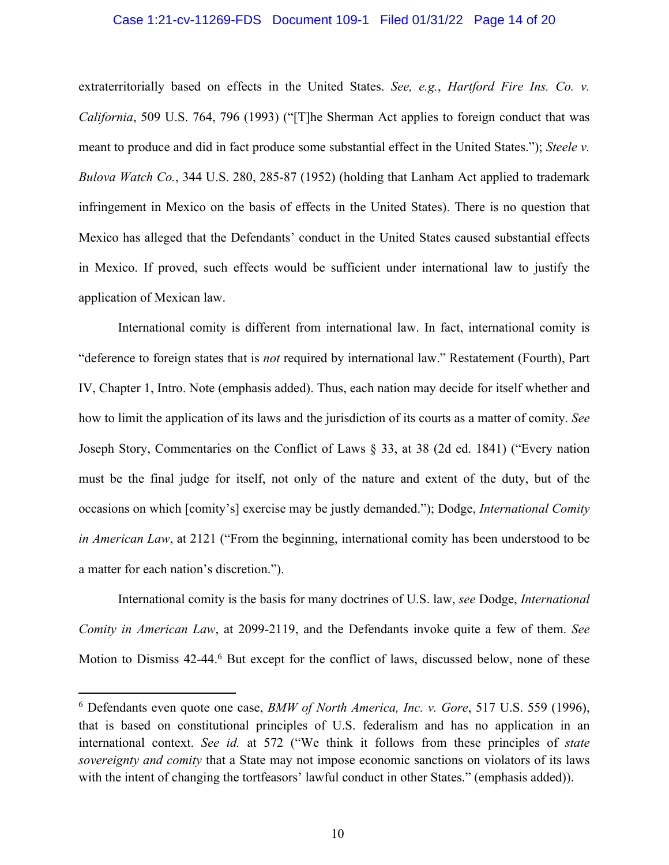#### Case 1:21-cv-11269-FDS Document 109-1 Filed 01/31/22 Page 14 of 20

extraterritorially based on effects in the United States. *See, e.g.*, *Hartford Fire Ins. Co. v. California*, 509 U.S. 764, 796 (1993) ("[T]he Sherman Act applies to foreign conduct that was meant to produce and did in fact produce some substantial effect in the United States."); *Steele v. Bulova Watch Co.*, 344 U.S. 280, 285-87 (1952) (holding that Lanham Act applied to trademark infringement in Mexico on the basis of effects in the United States). There is no question that Mexico has alleged that the Defendants' conduct in the United States caused substantial effects in Mexico. If proved, such effects would be sufficient under international law to justify the application of Mexican law.

International comity is different from international law. In fact, international comity is "deference to foreign states that is *not* required by international law." Restatement (Fourth), Part IV, Chapter 1, Intro. Note (emphasis added). Thus, each nation may decide for itself whether and how to limit the application of its laws and the jurisdiction of its courts as a matter of comity. *See* Joseph Story, Commentaries on the Conflict of Laws § 33, at 38 (2d ed. 1841) ("Every nation must be the final judge for itself, not only of the nature and extent of the duty, but of the occasions on which [comity's] exercise may be justly demanded."); Dodge, *International Comity in American Law*, at 2121 ("From the beginning, international comity has been understood to be a matter for each nation's discretion.").

International comity is the basis for many doctrines of U.S. law, *see* Dodge, *International Comity in American Law*, at 2099-2119, and the Defendants invoke quite a few of them. *See* Motion to Dismiss 42-44.<sup>6</sup> But except for the conflict of laws, discussed below, none of these

<sup>6</sup> Defendants even quote one case, *BMW of North America, Inc. v. Gore*, 517 U.S. 559 (1996), that is based on constitutional principles of U.S. federalism and has no application in an international context. *See id.* at 572 ("We think it follows from these principles of *state sovereignty and comity* that a State may not impose economic sanctions on violators of its laws with the intent of changing the tortfeasors' lawful conduct in other States." (emphasis added)).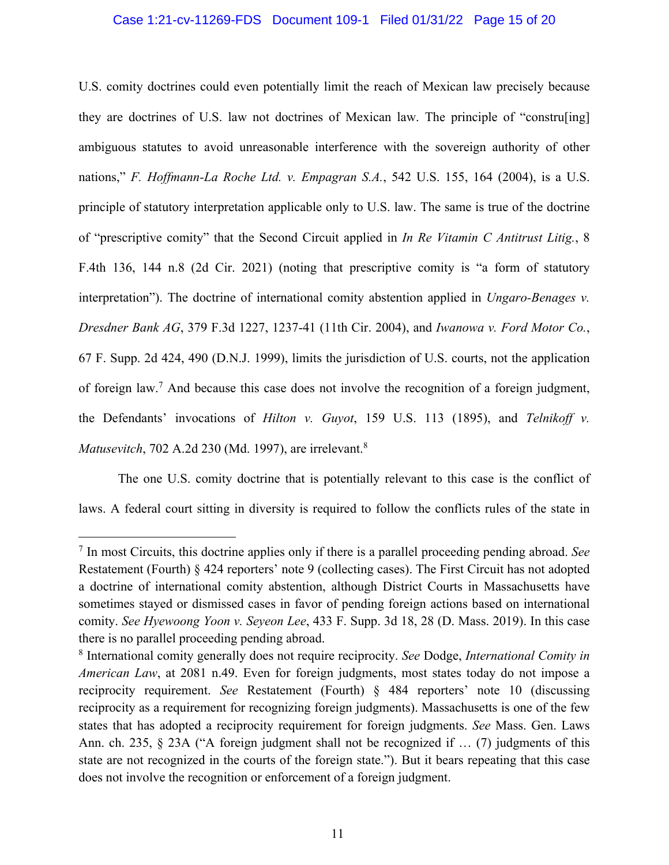#### Case 1:21-cv-11269-FDS Document 109-1 Filed 01/31/22 Page 15 of 20

U.S. comity doctrines could even potentially limit the reach of Mexican law precisely because they are doctrines of U.S. law not doctrines of Mexican law. The principle of "constru[ing] ambiguous statutes to avoid unreasonable interference with the sovereign authority of other nations," *F. Hoffmann-La Roche Ltd. v. Empagran S.A.*, 542 U.S. 155, 164 (2004), is a U.S. principle of statutory interpretation applicable only to U.S. law. The same is true of the doctrine of "prescriptive comity" that the Second Circuit applied in *In Re Vitamin C Antitrust Litig.*, 8 F.4th 136, 144 n.8 (2d Cir. 2021) (noting that prescriptive comity is "a form of statutory interpretation"). The doctrine of international comity abstention applied in *Ungaro-Benages v. Dresdner Bank AG*, 379 F.3d 1227, 1237-41 (11th Cir. 2004), and *Iwanowa v. Ford Motor Co.*, 67 F. Supp. 2d 424, 490 (D.N.J. 1999), limits the jurisdiction of U.S. courts, not the application of foreign law.7 And because this case does not involve the recognition of a foreign judgment, the Defendants' invocations of *Hilton v. Guyot*, 159 U.S. 113 (1895), and *Telnikoff v. Matusevitch*, 702 A.2d 230 (Md. 1997), are irrelevant.8

The one U.S. comity doctrine that is potentially relevant to this case is the conflict of laws. A federal court sitting in diversity is required to follow the conflicts rules of the state in

<sup>7</sup> In most Circuits, this doctrine applies only if there is a parallel proceeding pending abroad. *See* Restatement (Fourth) § 424 reporters' note 9 (collecting cases). The First Circuit has not adopted a doctrine of international comity abstention, although District Courts in Massachusetts have sometimes stayed or dismissed cases in favor of pending foreign actions based on international comity. *See Hyewoong Yoon v. Seyeon Lee*, 433 F. Supp. 3d 18, 28 (D. Mass. 2019). In this case there is no parallel proceeding pending abroad.

<sup>8</sup> International comity generally does not require reciprocity. *See* Dodge, *International Comity in American Law*, at 2081 n.49. Even for foreign judgments, most states today do not impose a reciprocity requirement. *See* Restatement (Fourth) § 484 reporters' note 10 (discussing reciprocity as a requirement for recognizing foreign judgments). Massachusetts is one of the few states that has adopted a reciprocity requirement for foreign judgments. *See* Mass. Gen. Laws Ann. ch. 235, § 23A ("A foreign judgment shall not be recognized if … (7) judgments of this state are not recognized in the courts of the foreign state."). But it bears repeating that this case does not involve the recognition or enforcement of a foreign judgment.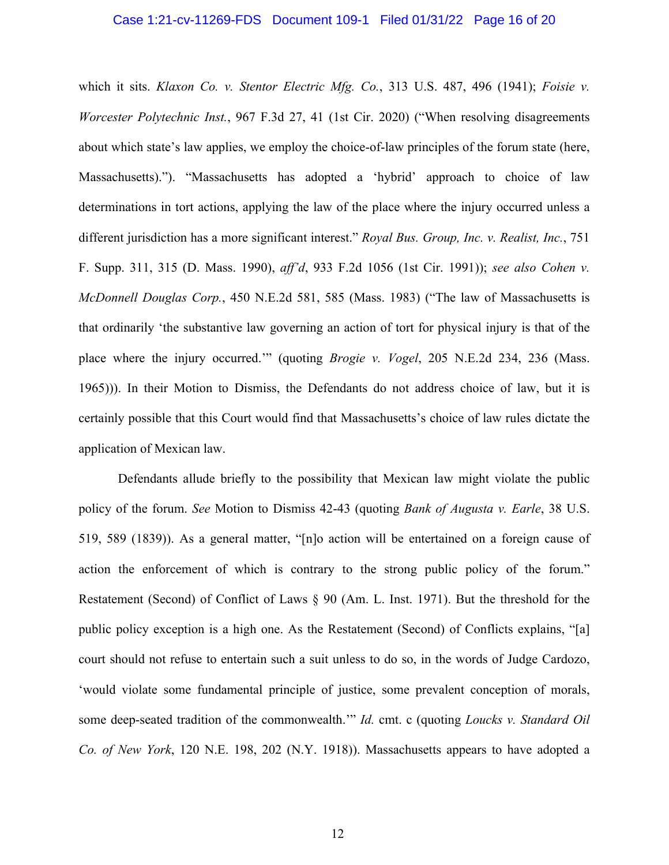#### Case 1:21-cv-11269-FDS Document 109-1 Filed 01/31/22 Page 16 of 20

which it sits. *Klaxon Co. v. Stentor Electric Mfg. Co.*, 313 U.S. 487, 496 (1941); *Foisie v. Worcester Polytechnic Inst.*, 967 F.3d 27, 41 (1st Cir. 2020) ("When resolving disagreements about which state's law applies, we employ the choice-of-law principles of the forum state (here, Massachusetts)."). "Massachusetts has adopted a 'hybrid' approach to choice of law determinations in tort actions, applying the law of the place where the injury occurred unless a different jurisdiction has a more significant interest." *Royal Bus. Group, Inc. v. Realist, Inc.*, 751 F. Supp. 311, 315 (D. Mass. 1990), *aff'd*, 933 F.2d 1056 (1st Cir. 1991)); *see also Cohen v. McDonnell Douglas Corp.*, 450 N.E.2d 581, 585 (Mass. 1983) ("The law of Massachusetts is that ordinarily 'the substantive law governing an action of tort for physical injury is that of the place where the injury occurred.'" (quoting *Brogie v. Vogel*, 205 N.E.2d 234, 236 (Mass. 1965))). In their Motion to Dismiss, the Defendants do not address choice of law, but it is certainly possible that this Court would find that Massachusetts's choice of law rules dictate the application of Mexican law.

Defendants allude briefly to the possibility that Mexican law might violate the public policy of the forum. *See* Motion to Dismiss 42-43 (quoting *Bank of Augusta v. Earle*, 38 U.S. 519, 589 (1839)). As a general matter, "[n]o action will be entertained on a foreign cause of action the enforcement of which is contrary to the strong public policy of the forum." Restatement (Second) of Conflict of Laws § 90 (Am. L. Inst. 1971). But the threshold for the public policy exception is a high one. As the Restatement (Second) of Conflicts explains, "[a] court should not refuse to entertain such a suit unless to do so, in the words of Judge Cardozo, 'would violate some fundamental principle of justice, some prevalent conception of morals, some deep-seated tradition of the commonwealth.'" *Id.* cmt. c (quoting *Loucks v. Standard Oil Co. of New York*, 120 N.E. 198, 202 (N.Y. 1918)). Massachusetts appears to have adopted a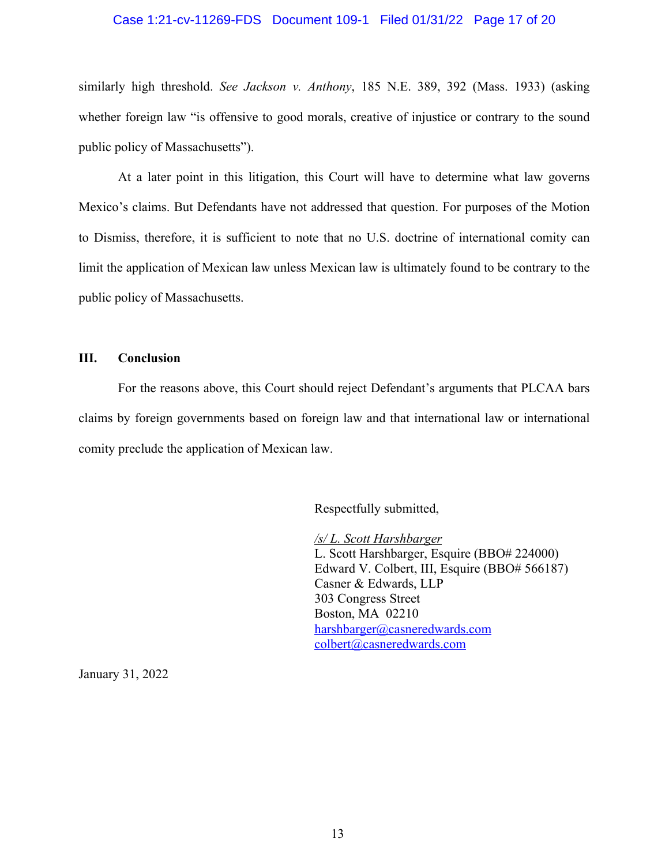#### Case 1:21-cv-11269-FDS Document 109-1 Filed 01/31/22 Page 17 of 20

similarly high threshold. *See Jackson v. Anthony*, 185 N.E. 389, 392 (Mass. 1933) (asking whether foreign law "is offensive to good morals, creative of injustice or contrary to the sound public policy of Massachusetts").

At a later point in this litigation, this Court will have to determine what law governs Mexico's claims. But Defendants have not addressed that question. For purposes of the Motion to Dismiss, therefore, it is sufficient to note that no U.S. doctrine of international comity can limit the application of Mexican law unless Mexican law is ultimately found to be contrary to the public policy of Massachusetts.

#### **III. Conclusion**

For the reasons above, this Court should reject Defendant's arguments that PLCAA bars claims by foreign governments based on foreign law and that international law or international comity preclude the application of Mexican law.

Respectfully submitted,

*/s/ L. Scott Harshbarger* L. Scott Harshbarger, Esquire (BBO# 224000) Edward V. Colbert, III, Esquire (BBO# 566187) Casner & Edwards, LLP 303 Congress Street Boston, MA 02210 harshbarger@casneredwards.com colbert@casneredwards.com

January 31, 2022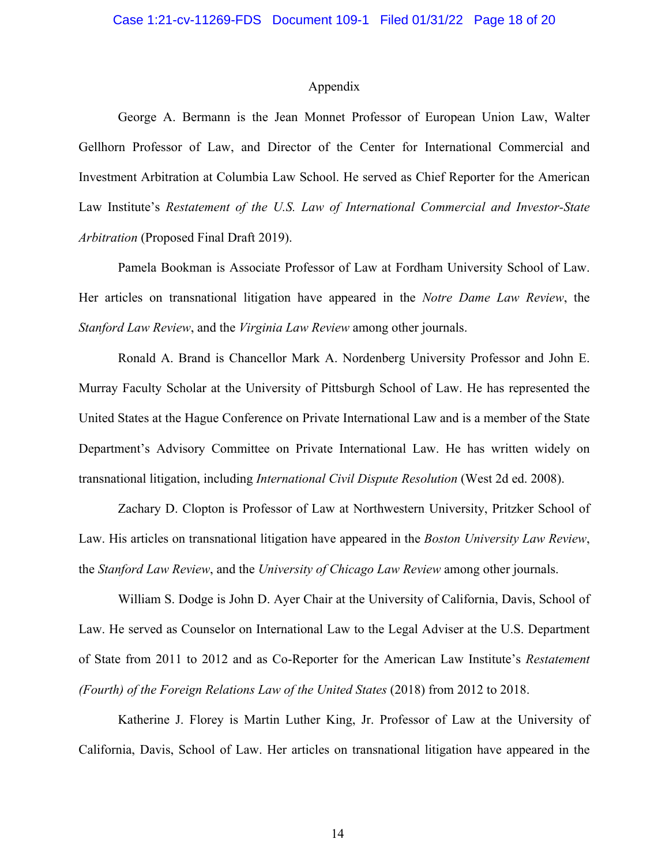#### Appendix

George A. Bermann is the Jean Monnet Professor of European Union Law, Walter Gellhorn Professor of Law, and Director of the Center for International Commercial and Investment Arbitration at Columbia Law School. He served as Chief Reporter for the American Law Institute's *Restatement of the U.S. Law of International Commercial and Investor-State Arbitration* (Proposed Final Draft 2019).

Pamela Bookman is Associate Professor of Law at Fordham University School of Law. Her articles on transnational litigation have appeared in the *Notre Dame Law Review*, the *Stanford Law Review*, and the *Virginia Law Review* among other journals.

Ronald A. Brand is Chancellor Mark A. Nordenberg University Professor and John E. Murray Faculty Scholar at the University of Pittsburgh School of Law. He has represented the United States at the Hague Conference on Private International Law and is a member of the State Department's Advisory Committee on Private International Law. He has written widely on transnational litigation, including *International Civil Dispute Resolution* (West 2d ed. 2008).

Zachary D. Clopton is Professor of Law at Northwestern University, Pritzker School of Law. His articles on transnational litigation have appeared in the *Boston University Law Review*, the *Stanford Law Review*, and the *University of Chicago Law Review* among other journals.

William S. Dodge is John D. Ayer Chair at the University of California, Davis, School of Law. He served as Counselor on International Law to the Legal Adviser at the U.S. Department of State from 2011 to 2012 and as Co-Reporter for the American Law Institute's *Restatement (Fourth) of the Foreign Relations Law of the United States* (2018) from 2012 to 2018.

Katherine J. Florey is Martin Luther King, Jr. Professor of Law at the University of California, Davis, School of Law. Her articles on transnational litigation have appeared in the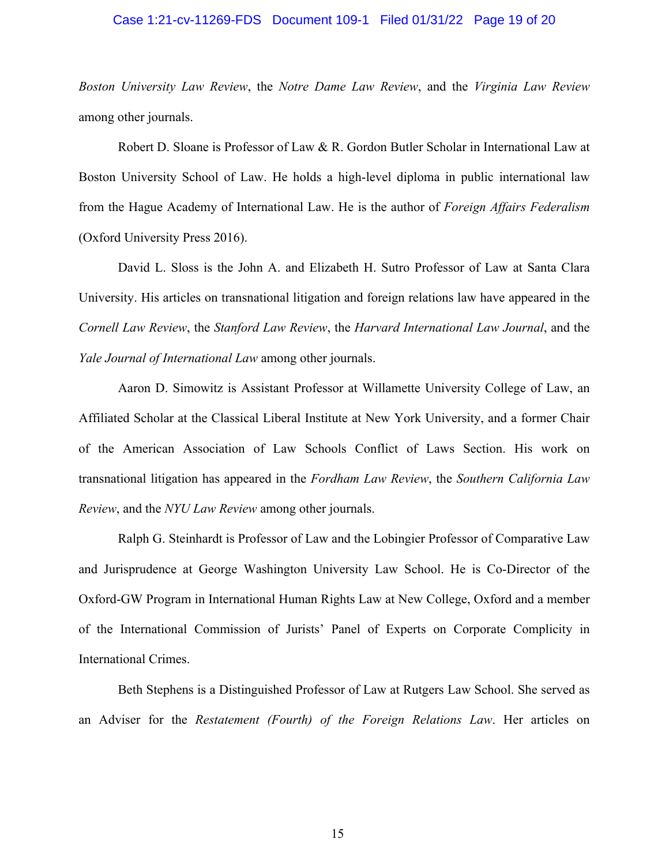#### Case 1:21-cv-11269-FDS Document 109-1 Filed 01/31/22 Page 19 of 20

*Boston University Law Review*, the *Notre Dame Law Review*, and the *Virginia Law Review* among other journals.

Robert D. Sloane is Professor of Law & R. Gordon Butler Scholar in International Law at Boston University School of Law. He holds a high-level diploma in public international law from the Hague Academy of International Law. He is the author of *Foreign Affairs Federalism* (Oxford University Press 2016).

David L. Sloss is the John A. and Elizabeth H. Sutro Professor of Law at Santa Clara University. His articles on transnational litigation and foreign relations law have appeared in the *Cornell Law Review*, the *Stanford Law Review*, the *Harvard International Law Journal*, and the *Yale Journal of International Law* among other journals.

Aaron D. Simowitz is Assistant Professor at Willamette University College of Law, an Affiliated Scholar at the Classical Liberal Institute at New York University, and a former Chair of the American Association of Law Schools Conflict of Laws Section. His work on transnational litigation has appeared in the *Fordham Law Review*, the *Southern California Law Review*, and the *NYU Law Review* among other journals.

Ralph G. Steinhardt is Professor of Law and the Lobingier Professor of Comparative Law and Jurisprudence at George Washington University Law School. He is Co-Director of the Oxford-GW Program in International Human Rights Law at New College, Oxford and a member of the International Commission of Jurists' Panel of Experts on Corporate Complicity in International Crimes.

Beth Stephens is a Distinguished Professor of Law at Rutgers Law School. She served as an Adviser for the *Restatement (Fourth) of the Foreign Relations Law*. Her articles on